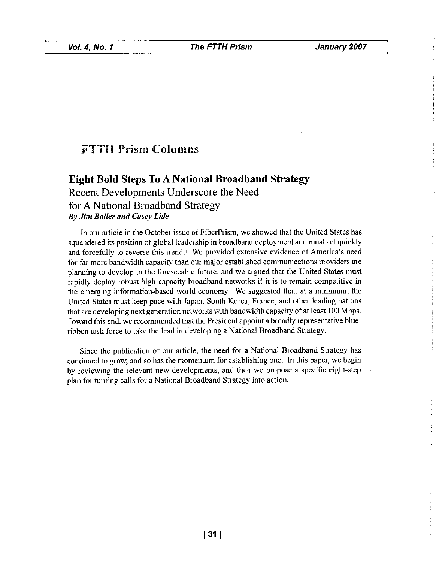## **FTTH Prism Columns**

# **Eight Bold Steps To A National Broadband Strategy** Recent Developments Underscore the Need for A National Broadband Strategy **By Jim Baller and Casey Lide**

In our article in the October issue of FiberPrism, we showed that the United States has squandered its position of global leadership in broadband deployment and must act quickly and forcefully to reverse this trend.<sup>1</sup> We provided extensive evidence of America's need for far more bandwidth capacity than our major established communications providers are planning to develop in the foreseeable future, and we argued that the United States must rapidly deploy robust high-capacity broadband networks if it is to remain competitive in the emerging information-based world economy. We suggested that, at a minimum, the United States must keep pace with Japan, South Korea, France, and other leading nations that are developing next generation networks with bandwidth capacity of at least 100 Mbps. Toward this end, we recommended that the President appoint a broadly representative blueribbon task force to take the lead in developing a National Broadband Strategy.

Since the publication of our article, the need for a National Broadband Strategy has continued to grow, and so has the momentum for establishing one. In this paper, we begin by reviewing the relevant new developments, and then we propose a specific eight-step plan for turning calls for a National Broadband Strategy into action.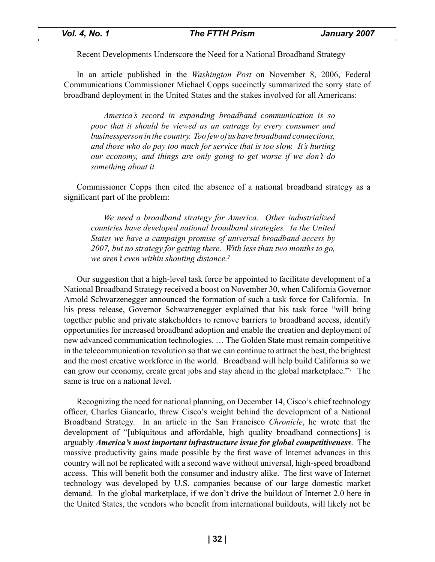Recent Developments Underscore the Need for a National Broadband Strategy

In an article published in the *Washington Post* on November 8, 2006, Federal Communications Commissioner Michael Copps succinctly summarized the sorry state of broadband deployment in the United States and the stakes involved for all Americans:

*America's record in expanding broadband communication is so poor that it should be viewed as an outrage by every consumer and businessperson in the country. Too few of us have broadband connections, and those who do pay too much for service that is too slow. It's hurting our economy, and things are only going to get worse if we don't do something about it.*

Commissioner Copps then cited the absence of a national broadband strategy as a significant part of the problem:

*We need a broadband strategy for America. Other industrialized countries have developed national broadband strategies. In the United States we have a campaign promise of universal broadband access by 2007, but no strategy for getting there. With less than two months to go, we aren't even within shouting distance.2*

Our suggestion that a high-level task force be appointed to facilitate development of a National Broadband Strategy received a boost on November 30, when California Governor Arnold Schwarzenegger announced the formation of such a task force for California. In his press release, Governor Schwarzenegger explained that his task force "will bring together public and private stakeholders to remove barriers to broadband access, identify opportunities for increased broadband adoption and enable the creation and deployment of new advanced communication technologies. … The Golden State must remain competitive in the telecommunication revolution so that we can continue to attract the best, the brightest and the most creative workforce in the world. Broadband will help build California so we can grow our economy, create great jobs and stay ahead in the global marketplace."3 The same is true on a national level.

Recognizing the need for national planning, on December 14, Cisco's chief technology officer, Charles Giancarlo, threw Cisco's weight behind the development of a National Broadband Strategy. In an article in the San Francisco *Chronicle*, he wrote that the development of "[ubiquitous and affordable, high quality broadband connections] is arguably *America's most important infrastructure issue for global competitiveness*. The massive productivity gains made possible by the first wave of Internet advances in this country will not be replicated with a second wave without universal, high-speed broadband access. This will benefit both the consumer and industry alike. The first wave of Internet technology was developed by U.S. companies because of our large domestic market demand. In the global marketplace, if we don't drive the buildout of Internet 2.0 here in the United States, the vendors who benefit from international buildouts, will likely not be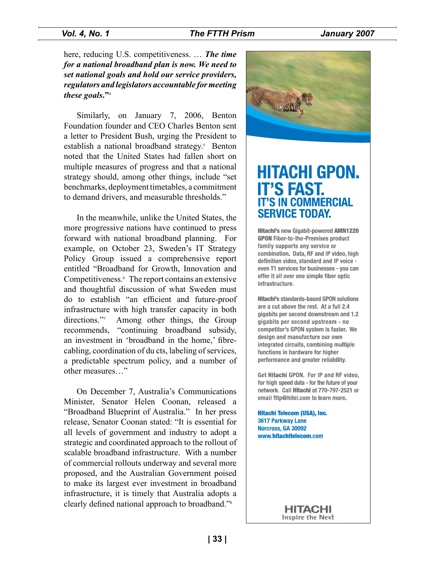#### *Vol. 4, No. 1 The FTTH Prism January 2007*

here, reducing U.S. competitiveness. … *The time for a national broadband plan is now. We need to set national goals and hold our service providers, regulators and legislators accountable for meeting these goals***."**<sup>4</sup>

Similarly, on January 7, 2006, Benton Foundation founder and CEO Charles Benton sent a letter to President Bush, urging the President to establish a national broadband strategy.<sup>5</sup> Benton noted that the United States had fallen short on multiple measures of progress and that a national strategy should, among other things, include "set benchmarks, deployment timetables, a commitment to demand drivers, and measurable thresholds."

In the meanwhile, unlike the United States, the more progressive nations have continued to press forward with national broadband planning. For example, on October 23, Sweden's IT Strategy Policy Group issued a comprehensive report entitled "Broadband for Growth, Innovation and Competitiveness.<sup>6</sup> The report contains an extensive and thoughtful discussion of what Sweden must do to establish "an efficient and future-proof infrastructure with high transfer capacity in both directions."7 Among other things, the Group recommends, "continuing broadband subsidy, an investment in 'broadband in the home,' fibrecabling, coordination of du cts, labeling of services, a predictable spectrum policy, and a number of other measures…"

On December 7, Australia's Communications Minister, Senator Helen Coonan, released a "Broadband Blueprint of Australia." In her press release, Senator Coonan stated: "It is essential for all levels of government and industry to adopt a strategic and coordinated approach to the rollout of scalable broadband infrastructure. With a number of commercial rollouts underway and several more proposed, and the Australian Government poised to make its largest ever investment in broadband infrastructure, it is timely that Australia adopts a clearly defined national approach to broadband."8



# **HITACHI GPON. IT'S FAST. IT'S IN COMMERCIAL SERVICE TODAY.**

**Hitachi's new Gigabit-powered AMN1220 GPON Fiber-to-the-Premises product** family supports any service or combination. Data, RF and IP video, high definition video, standard and IP voice even T1 services for businesses - you can offer it all over one simple fiber optic infrastructure.

**Hitachi's standards-based GPON solutions** are a cut above the rest. At a full 2.4 gigabits per second downstream and 1.2 gigabits per second upstream - no competitor's GPON system is faster. We design and manufacture our own integrated circuits, combining multiple functions in hardware for higher performance and greater reliability.

Get Hitachi GPON, For IP and RF video, for high speed data - for the future of your network. Call Hitachi at 770-797-2521 or email fttp@hitel.com to learn more.

**Hitachi Telecom (USA), Inc.** 3617 Parkway Lane Norcross, GA 30092 www.hitachitelecom.com

> HITACHI Inspire the Next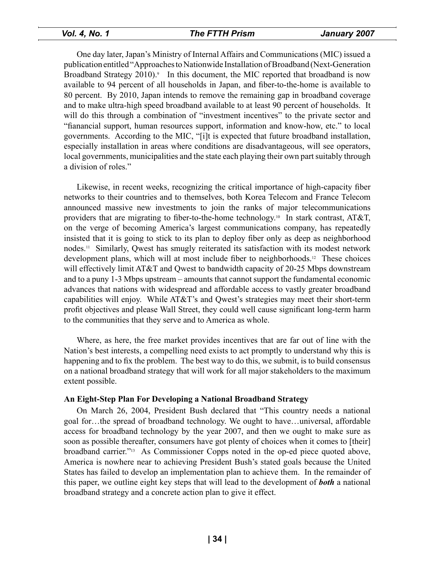One day later, Japan's Ministry of Internal Affairs and Communications (MIC) issued a publication entitled "Approaches to Nationwide Installation of Broadband (Next-Generation Broadband Strategy 2010).<sup>9</sup> In this document, the MIC reported that broadband is now available to 94 percent of all households in Japan, and fiber-to-the-home is available to 80 percent. By 2010, Japan intends to remove the remaining gap in broadband coverage and to make ultra-high speed broadband available to at least 90 percent of households. It will do this through a combination of "investment incentives" to the private sector and "fianancial support, human resources support, information and know-how, etc." to local governments. According to the MIC, "[i]t is expected that future broadband installation, especially installation in areas where conditions are disadvantageous, will see operators, local governments, municipalities and the state each playing their own part suitably through a division of roles."

Likewise, in recent weeks, recognizing the critical importance of high-capacity fiber networks to their countries and to themselves, both Korea Telecom and France Telecom announced massive new investments to join the ranks of major telecommunications providers that are migrating to fiber-to-the-home technology.<sup>10</sup> In stark contrast,  $\angle$ AT&T, on the verge of becoming America's largest communications company, has repeatedly insisted that it is going to stick to its plan to deploy fiber only as deep as neighborhood nodes.11 Similarly, Qwest has smugly reiterated its satisfaction with its modest network development plans, which will at most include fiber to neighborhoods.12 These choices will effectively limit AT&T and Qwest to bandwidth capacity of 20-25 Mbps downstream and to a puny 1-3 Mbps upstream – amounts that cannot support the fundamental economic advances that nations with widespread and affordable access to vastly greater broadband capabilities will enjoy. While AT&T's and Qwest's strategies may meet their short-term profit objectives and please Wall Street, they could well cause significant long-term harm to the communities that they serve and to America as whole.

Where, as here, the free market provides incentives that are far out of line with the Nation's best interests, a compelling need exists to act promptly to understand why this is happening and to fix the problem. The best way to do this, we submit, is to build consensus on a national broadband strategy that will work for all major stakeholders to the maximum extent possible.

#### **An Eight-Step Plan For Developing a National Broadband Strategy**

On March 26, 2004, President Bush declared that "This country needs a national goal for…the spread of broadband technology. We ought to have…universal, affordable access for broadband technology by the year 2007, and then we ought to make sure as soon as possible thereafter, consumers have got plenty of choices when it comes to [their] broadband carrier."13 As Commissioner Copps noted in the op-ed piece quoted above, America is nowhere near to achieving President Bush's stated goals because the United States has failed to develop an implementation plan to achieve them. In the remainder of this paper, we outline eight key steps that will lead to the development of *both* a national broadband strategy and a concrete action plan to give it effect.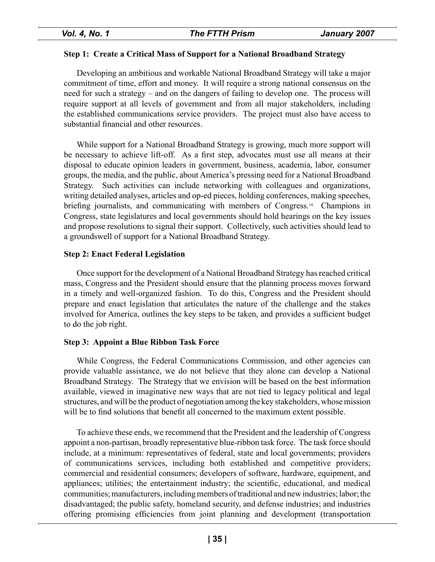#### **Step 1: Create a Critical Mass of Support for a National Broadband Strategy**

Developing an ambitious and workable National Broadband Strategy will take a major commitment of time, effort and money. It will require a strong national consensus on the need for such a strategy – and on the dangers of failing to develop one. The process will require support at all levels of government and from all major stakeholders, including the established communications service providers. The project must also have access to substantial financial and other resources.

While support for a National Broadband Strategy is growing, much more support will be necessary to achieve lift-off. As a first step, advocates must use all means at their disposal to educate opinion leaders in government, business, academia, labor, consumer groups, the media, and the public, about America's pressing need for a National Broadband Strategy. Such activities can include networking with colleagues and organizations, writing detailed analyses, articles and op-ed pieces, holding conferences, making speeches, briefing journalists, and communicating with members of Congress.<sup>14</sup> Champions in Congress, state legislatures and local governments should hold hearings on the key issues and propose resolutions to signal their support. Collectively, such activities should lead to a groundswell of support for a National Broadband Strategy.

#### **Step 2: Enact Federal Legislation**

Once support for the development of a National Broadband Strategy has reached critical mass, Congress and the President should ensure that the planning process moves forward in a timely and well-organized fashion. To do this, Congress and the President should prepare and enact legislation that articulates the nature of the challenge and the stakes involved for America, outlines the key steps to be taken, and provides a sufficient budget to do the job right.

### **Step 3: Appoint a Blue Ribbon Task Force**

While Congress, the Federal Communications Commission, and other agencies can provide valuable assistance, we do not believe that they alone can develop a National Broadband Strategy. The Strategy that we envision will be based on the best information available, viewed in imaginative new ways that are not tied to legacy political and legal structures, and will be the product of negotiation among the key stakeholders, whose mission will be to find solutions that benefit all concerned to the maximum extent possible.

To achieve these ends, we recommend that the President and the leadership of Congress appoint a non-partisan, broadly representative blue-ribbon task force. The task force should include, at a minimum: representatives of federal, state and local governments; providers of communications services, including both established and competitive providers; commercial and residential consumers; developers of software, hardware, equipment, and appliances; utilities; the entertainment industry; the scientific, educational, and medical communities; manufacturers, including members of traditional and new industries; labor; the disadvantaged; the public safety, homeland security, and defense industries; and industries offering promising efficiencies from joint planning and development (transportation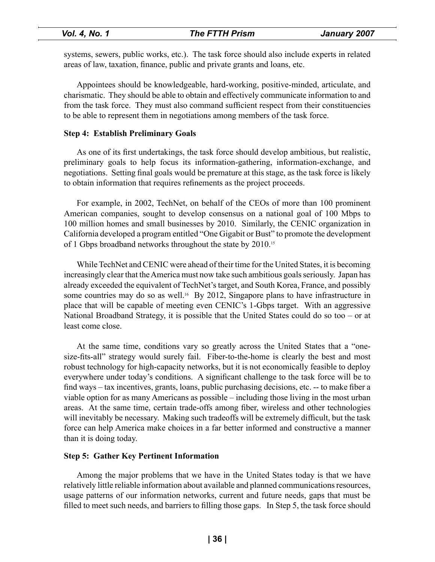systems, sewers, public works, etc.). The task force should also include experts in related areas of law, taxation, finance, public and private grants and loans, etc.

Appointees should be knowledgeable, hard-working, positive-minded, articulate, and charismatic. They should be able to obtain and effectively communicate information to and from the task force. They must also command sufficient respect from their constituencies to be able to represent them in negotiations among members of the task force.

#### **Step 4: Establish Preliminary Goals**

As one of its first undertakings, the task force should develop ambitious, but realistic, preliminary goals to help focus its information-gathering, information-exchange, and negotiations. Setting final goals would be premature at this stage, as the task force is likely to obtain information that requires refinements as the project proceeds.

For example, in 2002, TechNet, on behalf of the CEOs of more than 100 prominent American companies, sought to develop consensus on a national goal of 100 Mbps to 100 million homes and small businesses by 2010. Similarly, the CENIC organization in California developed a program entitled "One Gigabit or Bust" to promote the development of 1 Gbps broadband networks throughout the state by 2010.<sup>15</sup>

While TechNet and CENIC were ahead of their time for the United States, it is becoming increasingly clear that the America must now take such ambitious goals seriously. Japan has already exceeded the equivalent of TechNet's target, and South Korea, France, and possibly some countries may do so as well.<sup>16</sup> By 2012, Singapore plans to have infrastructure in place that will be capable of meeting even CENIC's 1-Gbps target. With an aggressive National Broadband Strategy, it is possible that the United States could do so too – or at least come close.

At the same time, conditions vary so greatly across the United States that a "onesize-fits-all" strategy would surely fail. Fiber-to-the-home is clearly the best and most robust technology for high-capacity networks, but it is not economically feasible to deploy everywhere under today's conditions. A significant challenge to the task force will be to find ways – tax incentives, grants, loans, public purchasing decisions, etc. -- to make fiber a viable option for as many Americans as possible – including those living in the most urban areas. At the same time, certain trade-offs among fiber, wireless and other technologies will inevitably be necessary. Making such tradeoffs will be extremely difficult, but the task force can help America make choices in a far better informed and constructive a manner than it is doing today.

#### **Step 5: Gather Key Pertinent Information**

Among the major problems that we have in the United States today is that we have relatively little reliable information about available and planned communications resources, usage patterns of our information networks, current and future needs, gaps that must be filled to meet such needs, and barriers to filling those gaps. In Step 5, the task force should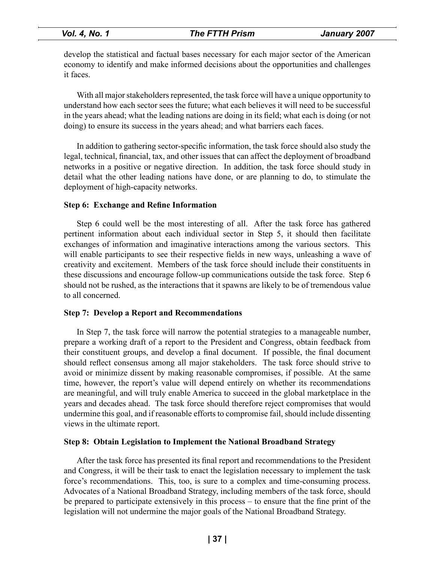| Vol. 4, No. 1 |
|---------------|
|---------------|

develop the statistical and factual bases necessary for each major sector of the American economy to identify and make informed decisions about the opportunities and challenges it faces.

With all major stakeholders represented, the task force will have a unique opportunity to understand how each sector sees the future; what each believes it will need to be successful in the years ahead; what the leading nations are doing in its field; what each is doing (or not doing) to ensure its success in the years ahead; and what barriers each faces.

In addition to gathering sector-specific information, the task force should also study the legal, technical, financial, tax, and other issues that can affect the deployment of broadband networks in a positive or negative direction. In addition, the task force should study in detail what the other leading nations have done, or are planning to do, to stimulate the deployment of high-capacity networks.

#### **Step 6: Exchange and Refine Information**

Step 6 could well be the most interesting of all. After the task force has gathered pertinent information about each individual sector in Step 5, it should then facilitate exchanges of information and imaginative interactions among the various sectors. This will enable participants to see their respective fields in new ways, unleashing a wave of creativity and excitement. Members of the task force should include their constituents in these discussions and encourage follow-up communications outside the task force. Step 6 should not be rushed, as the interactions that it spawns are likely to be of tremendous value to all concerned.

#### **Step 7: Develop a Report and Recommendations**

In Step 7, the task force will narrow the potential strategies to a manageable number, prepare a working draft of a report to the President and Congress, obtain feedback from their constituent groups, and develop a final document. If possible, the final document should reflect consensus among all major stakeholders. The task force should strive to avoid or minimize dissent by making reasonable compromises, if possible. At the same time, however, the report's value will depend entirely on whether its recommendations are meaningful, and will truly enable America to succeed in the global marketplace in the years and decades ahead. The task force should therefore reject compromises that would undermine this goal, and if reasonable efforts to compromise fail, should include dissenting views in the ultimate report.

#### **Step 8: Obtain Legislation to Implement the National Broadband Strategy**

After the task force has presented its final report and recommendations to the President and Congress, it will be their task to enact the legislation necessary to implement the task force's recommendations. This, too, is sure to a complex and time-consuming process. Advocates of a National Broadband Strategy, including members of the task force, should be prepared to participate extensively in this process – to ensure that the fine print of the legislation will not undermine the major goals of the National Broadband Strategy.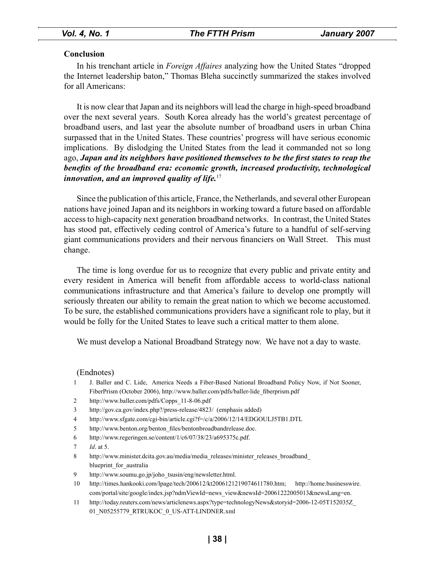#### **Conclusion**

In his trenchant article in *Foreign Affaires* analyzing how the United States "dropped the Internet leadership baton," Thomas Bleha succinctly summarized the stakes involved for all Americans:

It is now clear that Japan and its neighbors will lead the charge in high-speed broadband over the next several years. South Korea already has the world's greatest percentage of broadband users, and last year the absolute number of broadband users in urban China surpassed that in the United States. These countries' progress will have serious economic implications. By dislodging the United States from the lead it commanded not so long ago, *Japan and its neighbors have positioned themselves to be the first states to reap the benefits of the broadband era: economic growth, increased productivity, technological innovation, and an improved quality of life.* 17

Since the publication of this article, France, the Netherlands, and several other European nations have joined Japan and its neighbors in working toward a future based on affordable access to high-capacity next generation broadband networks. In contrast, the United States has stood pat, effectively ceding control of America's future to a handful of self-serving giant communications providers and their nervous financiers on Wall Street. This must change.

The time is long overdue for us to recognize that every public and private entity and every resident in America will benefit from affordable access to world-class national communications infrastructure and that America's failure to develop one promptly will seriously threaten our ability to remain the great nation to which we become accustomed. To be sure, the established communications providers have a significant role to play, but it would be folly for the United States to leave such a critical matter to them alone.

We must develop a National Broadband Strategy now. We have not a day to waste.

(Endnotes)

- 1 J. Baller and C. Lide, America Needs a Fiber-Based National Broadband Policy Now, if Not Sooner, FiberPrism (October 2006), http://www.baller.com/pdfs/baller-lide\_fiberprism.pdf
- 2 http://www.baller.com/pdfs/Copps\_11-8-06.pdf
- 3 http://gov.ca.gov/index.php?/press-release/4823/ (emphasis added)
- 4 http://www.sfgate.com/cgi-bin/article.cgi?f=/c/a/2006/12/14/EDGOULJ5TB1.DTL
- 5 http://www.benton.org/benton\_files/bentonbroadbandrelease.doc.
- 6 http://www.regeringen.se/content/1/c6/07/38/23/a695375c.pdf.
- 7 *Id*. at 5.
- 8 http://www.minister.dcita.gov.au/media/media\_releases/minister\_releases\_broadband blueprint for australia
- 9 http://www.soumu.go.jp/joho\_tsusin/eng/newsletter.html.
- 10 http://times.hankooki.com/lpage/tech/200612/kt2006121219074611780.htm; http://home.businesswire. com/portal/site/google/index.jsp?ndmViewId=news\_view&newsId=20061222005013&newsLang=en.
- 11 http://today.reuters.com/news/articlenews.aspx?type=technologyNews&storyid=2006-12-05T152035Z\_ 01\_N05255779\_RTRUKOC\_0\_US-ATT-LINDNER.xml